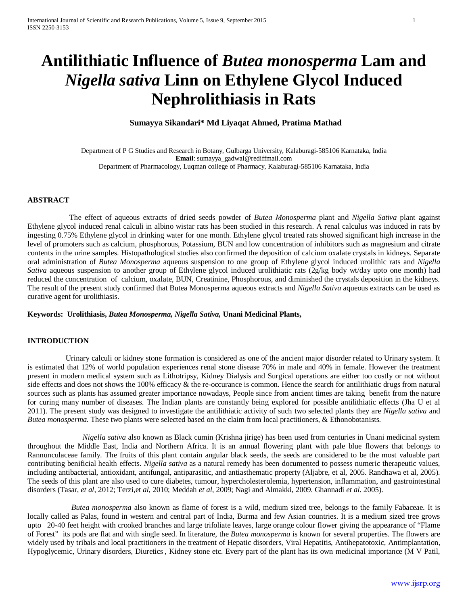# **Antilithiatic Influence of** *Butea monosperma* **Lam and**  *Nigella sativa* **Linn on Ethylene Glycol Induced Nephrolithiasis in Rats**

# **Sumayya Sikandari\* Md Liyaqat Ahmed, Pratima Mathad**

Department of P G Studies and Research in Botany, Gulbarga University, Kalaburagi-585106 Karnataka, India **Email**[: sumayya\\_gadwal@rediffmail.com](mailto:sumayya_gadwal@rediffmail.com) Department of Pharmacology, Luqman college of Pharmacy, Kalaburagi-585106 Karnataka, India

#### **ABSTRACT**

 The effect of aqueous extracts of dried seeds powder of *Butea Monosperma* plant and *Nigella Sativa* plant against Ethylene glycol induced renal calculi in albino wistar rats has been studied in this research. A renal calculus was induced in rats by ingesting 0.75% Ethylene glycol in drinking water for one month. Ethylene glycol treated rats showed significant high increase in the level of promoters such as calcium, phosphorous, Potassium, BUN and low concentration of inhibitors such as magnesium and citrate contents in the urine samples. Histopathological studies also confirmed the deposition of calcium oxalate crystals in kidneys. Separate oral administration of *Butea Monosperma* aqueous suspension to one group of Ethylene glycol induced urolithic rats and *Nigella Sativa* aqueous suspension to another group of Ethylene glycol induced urolithiatic rats (2g/kg body wt/day upto one month) had reduced the concentration of calcium, oxalate, BUN, Creatinine, Phosphorous, and diminished the crystals deposition in the kidneys. The result of the present study confirmed that Butea Monosperma aqueous extracts and *Nigella Sativa* aqueous extracts can be used as curative agent for urolithiasis.

#### **Keywords: Urolithiasis,** *Butea Monosperma, Nigella Sativa,* **Unani Medicinal Plants,**

#### **INTRODUCTION**

Urinary calculi or kidney stone formation is considered as one of the ancient major disorder related to Urinary system. It is estimated that 12% of world population experiences renal stone disease 70% in male and 40% in female. However the treatment present in modern medical system such as Lithotripsy, Kidney Dialysis and Surgical operations are either too costly or not without side effects and does not shows the 100% efficacy & the re-occurance is common. Hence the search for antilithiatic drugs from natural sources such as plants has assumed greater importance nowadays, People since from ancient times are taking benefit from the nature for curing many number of diseases. The Indian plants are constantly being explored for possible antilithiatic effects (Jha U et al 2011). The present study was designed to investigate the antilithiatic activity of such two selected plants they are *Nigella sativa* and *Butea monosperma.* These two plants were selected based on the claim from local practitioners, & Ethonobotanists.

*Nigella sativa* also known as Black cumin (Krishna jirige) has been used from centuries in Unani medicinal system throughout the Middle East, India and Northern Africa. It is an annual flowering plant with pale blue flowers that belongs to Rannunculaceae family. The fruits of this plant contain angular black seeds, the seeds are considered to be the most valuable part contributing benificial health effects. *Nigella sativa* as a natural remedy has been documented to possess numeric therapeutic values, including antibacterial, antioxidant, antifungal, antiparasitic, and antiasthematic property (Aljabre, et al, 2005. Randhawa et al, 2005). The seeds of this plant are also used to cure diabetes, tumour, hypercholesterolemia, hypertension, inflammation, and gastrointestinal disorders (Tasar, *et al*, 2012; Terzi,et *al*, 2010; Meddah *et al*, 2009; Nagi and Almakki, 2009. Ghannadi *et al.* 2005).

 *Butea monosperma* also known as flame of forest is a wild, medium sized tree, belongs to the family Fabaceae. It is locally called as Palas, found in western and central part of India, Burma and few Asian countries. It is a medium sized tree grows upto 20-40 feet height with crooked branches and large trifoliate leaves, large orange colour flower giving the appearance of "Flame of Forest" its pods are flat and with single seed. In literature, the *Butea monosperma* is known for several properties. The flowers are widely used by tribals and local practitioners in the treatment of Hepatic disorders, Viral Hepatitis, Antihepatotoxic, Antimplantation, Hypoglycemic, Urinary disorders, Diuretics , Kidney stone etc. Every part of the plant has its own medicinal importance (M V Patil,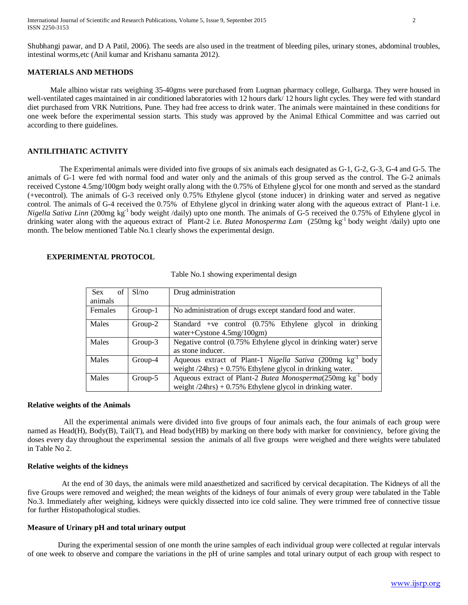International Journal of Scientific and Research Publications, Volume 5, Issue 9, September 2015 2 ISSN 2250-3153

Shubhangi pawar, and D A Patil, 2006). The seeds are also used in the treatment of bleeding piles, urinary stones, abdominal troubles, intestinal worms,etc (Anil kumar and Krishanu samanta 2012).

#### **MATERIALS AND METHODS**

 Male albino wistar rats weighing 35-40gms were purchased from Luqman pharmacy college, Gulbarga. They were housed in well-ventilated cages maintained in air conditioned laboratories with 12 hours dark/ 12 hours light cycles. They were fed with standard diet purchased from VRK Nutritions, Pune. They had free access to drink water. The animals were maintained in these conditions for one week before the experimental session starts. This study was approved by the Animal Ethical Committee and was carried out according to there guidelines.

# **ANTILITHIATIC ACTIVITY**

 The Experimental animals were divided into five groups of six animals each designated as G-1, G-2, G-3, G-4 and G-5. The animals of G-1 were fed with normal food and water only and the animals of this group served as the control. The G-2 animals received Cystone 4.5mg/100gm body weight orally along with the 0.75% of Ethylene glycol for one month and served as the standard (+vecontrol). The animals of G-3 received only 0.75% Ethylene glycol (stone inducer) in drinking water and served as negative control. The animals of G-4 received the 0.75% of Ethylene glycol in drinking water along with the aqueous extract of Plant-1 i.e. *Nigella Sativa Linn* (200mg kg<sup>-1</sup> body weight /daily) upto one month. The animals of G-5 received the 0.75% of Ethylene glycol in drinking water along with the aqueous extract of Plant-2 i.e. *Butea Monosperma Lam* (250mg kg-1 body weight /daily) upto one month. The below mentioned Table No.1 clearly shows the experimental design.

# **EXPERIMENTAL PROTOCOL**

| <b>Sex</b><br>of<br>animals | Sl/no     | Drug administration                                                                                                                         |  |  |  |
|-----------------------------|-----------|---------------------------------------------------------------------------------------------------------------------------------------------|--|--|--|
| Females                     | Group-1   | No administration of drugs except standard food and water.                                                                                  |  |  |  |
| Males                       | Group-2   | Standard +ve control $(0.75\%$ Ethylene glycol in drinking<br>water+Cystone $4.5mg/100gm$ )                                                 |  |  |  |
| <b>Males</b>                | $Group-3$ | Negative control (0.75% Ethylene glycol in drinking water) serve<br>as stone inducer.                                                       |  |  |  |
| Males                       | Group-4   | Aqueous extract of Plant-1 Nigella Sativa (200mg kg <sup>-1</sup> )<br>body<br>weight $/24$ hrs) + 0.75% Ethylene glycol in drinking water. |  |  |  |
| Males                       | $Group-5$ | Aqueous extract of Plant-2 Butea Monosperma(250mg kg <sup>-1</sup><br>body<br>weight $/24$ hrs) + 0.75% Ethylene glycol in drinking water.  |  |  |  |

Table No.1 showing experimental design

#### **Relative weights of the Animals**

 All the experimental animals were divided into five groups of four animals each, the four animals of each group were named as Head(H), Body(B), Tail(T), and Head body(HB) by marking on there body with marker for conviniency, before giving the doses every day throughout the experimental session the animals of all five groups were weighed and there weights were tabulated in Table No 2.

# **Relative weights of the kidneys**

 At the end of 30 days, the animals were mild anaesthetized and sacrificed by cervical decapitation. The Kidneys of all the five Groups were removed and weighed; the mean weights of the kidneys of four animals of every group were tabulated in the Table No.3. Immediately after weighing, kidneys were quickly dissected into ice cold saline. They were trimmed free of connective tissue for further Histopathological studies.

## **Measure of Urinary pH and total urinary output**

 During the experimental session of one month the urine samples of each individual group were collected at regular intervals of one week to observe and compare the variations in the pH of urine samples and total urinary output of each group with respect to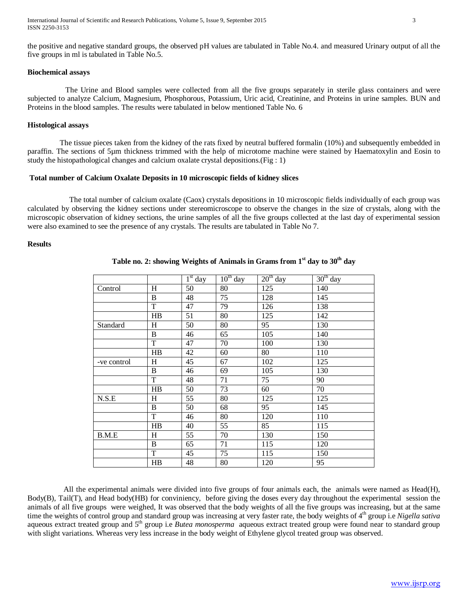International Journal of Scientific and Research Publications, Volume 5, Issue 9, September 2015 3 ISSN 2250-3153

the positive and negative standard groups, the observed pH values are tabulated in Table No.4. and measured Urinary output of all the five groups in ml is tabulated in Table No.5.

#### **Biochemical assays**

 The Urine and Blood samples were collected from all the five groups separately in sterile glass containers and were subjected to analyze Calcium, Magnesium, Phosphorous, Potassium, Uric acid, Creatinine, and Proteins in urine samples. BUN and Proteins in the blood samples. The results were tabulated in below mentioned Table No. 6

## **Histological assays**

 The tissue pieces taken from the kidney of the rats fixed by neutral buffered formalin (10%) and subsequently embedded in paraffin. The sections of 5µm thickness trimmed with the help of microtome machine were stained by Haematoxylin and Eosin to study the histopathological changes and calcium oxalate crystal depositions.(Fig : 1)

#### **Total number of Calcium Oxalate Deposits in 10 microscopic fields of kidney slices**

 The total number of calcium oxalate (Caox) crystals depositions in 10 microscopic fields individually of each group was calculated by observing the kidney sections under stereomicroscope to observe the changes in the size of crystals, along with the microscopic observation of kidney sections, the urine samples of all the five groups collected at the last day of experimental session were also examined to see the presence of any crystals. The results are tabulated in Table No 7.

#### **Results**

|             |                | $1st$ day | $10^{th}$ day | $20th$ day | $30th$ day |
|-------------|----------------|-----------|---------------|------------|------------|
| Control     | H              | 50        | 80            | 125        | 140        |
|             | $\, {\bf B}$   | 48        | 75            | 128        | 145        |
|             | T              | 47        | 79            | 126        | 138        |
|             | HB             | 51        | 80            | 125        | 142        |
| Standard    | H              | 50        | 80            | 95         | 130        |
|             | $\, {\bf B}$   | 46        | 65            | 105        | 140        |
|             | T              | 47        | 70            | 100        | 130        |
|             | H <sub>B</sub> | 42        | 60            | 80         | 110        |
| -ve control | H              | 45        | 67            | 102        | 125        |
|             | B              | 46        | 69            | 105        | 130        |
|             | $\mathbf T$    | 48        | 71            | 75         | 90         |
|             | HB             | 50        | 73            | 60         | 70         |
| N.S.E       | H              | 55        | 80            | 125        | 125        |
|             | $\, {\bf B}$   | 50        | 68            | 95         | 145        |
|             | T              | 46        | 80            | 120        | 110        |
|             | H <sub>B</sub> | 40        | 55            | 85         | 115        |
| B.M.E       | H              | 55        | 70            | 130        | 150        |
|             | B              | 65        | 71            | 115        | 120        |
|             | $\mathbf T$    | 45        | 75            | 115        | 150        |
|             | HB             | 48        | 80            | 120        | 95         |

# **Table no. 2: showing Weights of Animals in Grams from 1st day to 30th day**

All the experimental animals were divided into five groups of four animals each, the animals were named as  $Head(H)$ , Body(B), Tail(T), and Head body(HB) for conviniency, before giving the doses every day throughout the experimental session the animals of all five groups were weighed, It was observed that the body weights of all the five groups was increasing, but at the same time the weights of control group and standard group was increasing at very faster rate, the body weights of 4<sup>th</sup> group i.e *Nigella sativa* aqueous extract treated group and 5th group i.e *Butea monosperma* aqueous extract treated group were found near to standard group with slight variations. Whereas very less increase in the body weight of Ethylene glycol treated group was observed.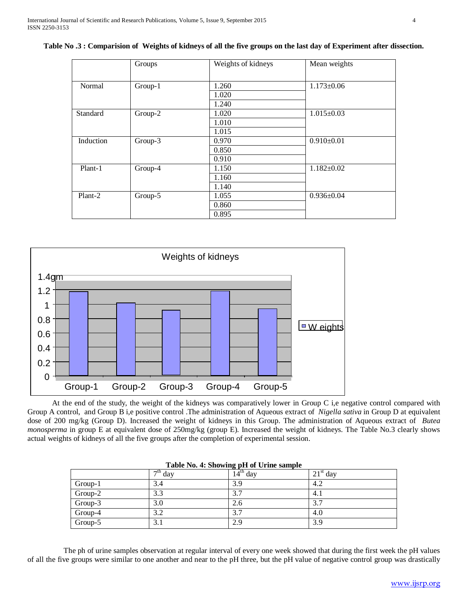| Table No.3: Comparision of Weights of kidneys of all the five groups on the last day of Experiment after dissection. |  |  |  |
|----------------------------------------------------------------------------------------------------------------------|--|--|--|
|                                                                                                                      |  |  |  |

|           | Groups  | Weights of kidneys | Mean weights     |
|-----------|---------|--------------------|------------------|
| Normal    | Group-1 | 1.260              | $1.173 \pm 0.06$ |
|           |         | 1.020              |                  |
|           |         | 1.240              |                  |
| Standard  | Group-2 | 1.020              | $1.015 \pm 0.03$ |
|           |         | 1.010              |                  |
|           |         | 1.015              |                  |
| Induction | Group-3 | 0.970              | $0.910 \pm 0.01$ |
|           |         | 0.850              |                  |
|           |         | 0.910              |                  |
| Plant-1   | Group-4 | 1.150              | $1.182 \pm 0.02$ |
|           |         | 1.160              |                  |
|           |         | 1.140              |                  |
| Plant-2   | Group-5 | 1.055              | $0.936 \pm 0.04$ |
|           |         | 0.860              |                  |
|           |         | 0.895              |                  |



 At the end of the study, the weight of the kidneys was comparatively lower in Group C i,e negative control compared with Group A control, and Group B i,e positive control .The administration of Aqueous extract of *Nigella sativa* in Group D at equivalent dose of 200 mg/kg (Group D). Increased the weight of kidneys in this Group. The administration of Aqueous extract of *Butea monosperma* in group E at equivalent dose of 250mg/kg (group E). Increased the weight of kidneys. The Table No.3 clearly shows actual weights of kidneys of all the five groups after the completion of experimental session.

|         |                                          | where I for it bill many pair of claim beampire |            |
|---------|------------------------------------------|-------------------------------------------------|------------|
|         | $\overline{\phantom{a}}^{\text{th}}$ day | $14th$ day                                      | $21st$ day |
| Group-1 | 3.4                                      | 3.9                                             | 4.2        |
| Group-2 | 3.3                                      | 3.7                                             | 4.1        |
| Group-3 | 3.0                                      | 2.6                                             | 3.7        |
| Group-4 | 3.2                                      | 3.7                                             | 4.0        |
| Group-5 | 3.1                                      | 2.9                                             | 3.9        |

#### **Table No. 4: Showing pH of Urine sample**

 The ph of urine samples observation at regular interval of every one week showed that during the first week the pH values of all the five groups were similar to one another and near to the pH three, but the pH value of negative control group was drastically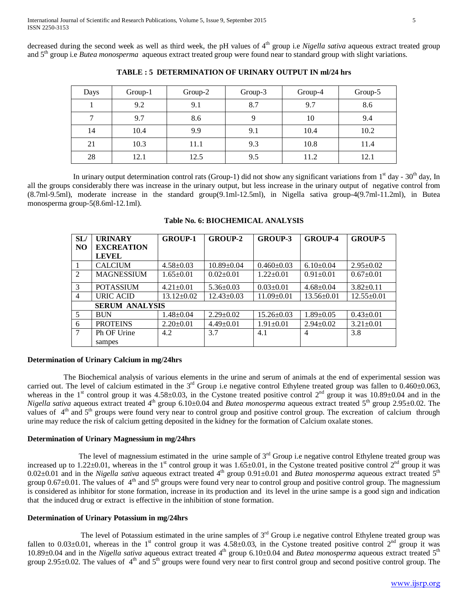decreased during the second week as well as third week, the pH values of 4<sup>th</sup> group i.e *Nigella sativa* aqueous extract treated group and 5th group i.e *Butea monosperma* aqueous extract treated group were found near to standard group with slight variations.

| Days | $Group-1$ | $Group-2$ | Group-3 | Group-4 | Group-5 |
|------|-----------|-----------|---------|---------|---------|
|      | 9.2       | 9.1       | 8.7     | 9.7     | 8.6     |
| 7    | 9.7       | 8.6       | 9       | 10      | 9.4     |
| 14   | 10.4      | 9.9       | 9.1     | 10.4    | 10.2    |
| 21   | 10.3      | 11.1      | 9.3     | 10.8    | 11.4    |
| 28   | 12.1      | 12.5      | 9.5     | 11.2    | 12.1    |

**TABLE : 5 DETERMINATION OF URINARY OUTPUT IN ml/24 hrs**

In urinary output determination control rats (Group-1) did not show any significant variations from  $1<sup>st</sup>$  day -  $30<sup>th</sup>$  day, In all the groups considerably there was increase in the urinary output, but less increase in the urinary output of negative control from (8.7ml-9.5ml), moderate increase in the standard group(9.1ml-12.5ml), in Nigella sativa group-4(9.7ml-11.2ml), in Butea monosperma group-5(8.6ml-12.1ml).

| SL/            | <b>URINARY</b>        | <b>GROUP-1</b>   | <b>GROUP-2</b>   | <b>GROUP-3</b>   | <b>GROUP-4</b>   | <b>GROUP-5</b>   |
|----------------|-----------------------|------------------|------------------|------------------|------------------|------------------|
| NO.            | <b>EXCREATION</b>     |                  |                  |                  |                  |                  |
|                | <b>LEVEL</b>          |                  |                  |                  |                  |                  |
| $\overline{1}$ | <b>CALCIUM</b>        | $4.58 \pm 0.03$  | $10.89 \pm 0.04$ | $0.460 \pm 0.03$ | $6.10 \pm 0.04$  | $2.95 \pm 0.02$  |
| 2              | <b>MAGNESSIUM</b>     | $1.65 \pm 0.01$  | $0.02+0.01$      | $1.22+0.01$      | $0.91 \pm 0.01$  | $0.67 \pm 0.01$  |
| 3              | <b>POTASSIUM</b>      | $4.21 \pm 0.01$  | $5.36 \pm 0.03$  | $0.03 \pm 0.01$  | $4.68 \pm 0.04$  | $3.82 \pm 0.11$  |
| $\overline{4}$ | URIC ACID             | $13.12 \pm 0.02$ | $12.43 \pm 0.03$ | $11.09 \pm 0.01$ | $13.56 \pm 0.01$ | $12.55 \pm 0.01$ |
|                | <b>SERUM ANALYSIS</b> |                  |                  |                  |                  |                  |
| 5              | <b>BUN</b>            | $1.48 \pm 0.04$  | $2.29 \pm 0.02$  | $15.26 \pm 0.03$ | $1.89 \pm 0.05$  | $0.43 \pm 0.01$  |
| 6              | <b>PROTEINS</b>       | $2.20+0.01$      | $4.49 \pm 0.01$  | $1.91 \pm 0.01$  | $2.94 \pm 0.02$  | $3.21 \pm 0.01$  |
| $\tau$         | Ph OF Urine           | 4.2              | 3.7              | 4.1              | 4                | 3.8              |
|                | sampes                |                  |                  |                  |                  |                  |

**Table No. 6: BIOCHEMICAL ANALYSIS**

#### **Determination of Urinary Calcium in mg/24hrs**

 The Biochemical analysis of various elements in the urine and serum of animals at the end of experimental session was carried out. The level of calcium estimated in the  $3<sup>rd</sup>$  Group i.e negative control Ethylene treated group was fallen to 0.460±0.063, whereas in the 1<sup>st</sup> control group it was  $4.58\pm0.03$ , in the Cystone treated positive control 2<sup>nd</sup> group it was  $10.89\pm0.04$  and in the *Nigella sativa* aqueous extract treated 4<sup>th</sup> group 6.10±0.04 and *Butea monosperma* aqueous extract treated 5<sup>th</sup> group 2.95±0.02. The values of 4<sup>th</sup> and 5<sup>th</sup> groups were found very near to control group and positive control group. The excreation of calcium through urine may reduce the risk of calcium getting deposited in the kidney for the formation of Calcium oxalate stones.

## **Determination of Urinary Magnessium in mg/24hrs**

The level of magnessium estimated in the urine sample of  $3<sup>rd</sup>$  Group i.e negative control Ethylene treated group was increased up to 1.22 $\pm$ 0.01, whereas in the 1<sup>st</sup> control group it was 1.65 $\pm$ 0.01, in the Cystone treated positive control 2<sup>nd</sup> group it was 0.02±0.01 and in the *Nigella sativa* aqueous extract treated 4<sup>th</sup> group 0.91±0.01 and *Butea monosperma* aqueous extract treated 5<sup>th</sup> group  $0.67\pm0.01$ . The values of  $4<sup>th</sup>$  and  $5<sup>th</sup>$  groups were found very near to control group and positive control group. The magnessium is considered as inhibitor for stone formation, increase in its production and its level in the urine sampe is a good sign and indication that the induced drug or extract is effective in the inhibition of stone formation.

## **Determination of Urinary Potassium in mg/24hrs**

The level of Potassium estimated in the urine samples of  $3<sup>rd</sup>$  Group i.e negative control Ethylene treated group was fallen to  $0.03\pm0.01$ , whereas in the 1<sup>st</sup> control group it was  $4.58\pm0.03$ , in the Cystone treated positive control 2<sup>nd</sup> group it was 10.89±0.04 and in the *Nigella sativa* aqueous extract treated 4<sup>th</sup> group 6.10±0.04 and *Butea monosperma* aqueous extract treated 5<sup>th</sup> group 2.95 $\pm$ 0.02. The values of  $4<sup>th</sup>$  and  $5<sup>th</sup>$  groups were found very near to first control group and second positive control group. The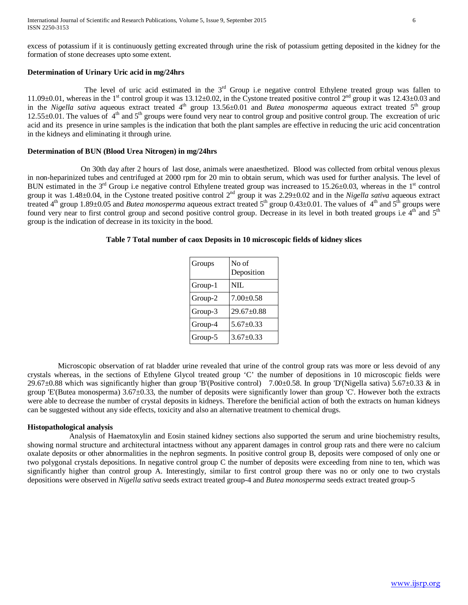excess of potassium if it is continuously getting excreated through urine the risk of potassium getting deposited in the kidney for the formation of stone decreases upto some extent.

## **Determination of Urinary Uric acid in mg/24hrs**

The level of uric acid estimated in the  $3<sup>rd</sup>$  Group i.e negative control Ethylene treated group was fallen to 11.09 $\pm$ 0.01, whereas in the 1<sup>st</sup> control group it was 13.12 $\pm$ 0.02, in the Cystone treated positive control 2<sup>nd</sup> group it was 12.43 $\pm$ 0.03 and in the *Nigella sativa* aqueous extract treated 4<sup>th</sup> group 13.56±0.01 and *Butea monosperma* aqueous extract treated 5<sup>th</sup> group  $12.55\pm0.01$ . The values of  $4<sup>th</sup>$  and  $5<sup>th</sup>$  groups were found very near to control group and positive control group. The excreation of uric acid and its presence in urine samples is the indication that both the plant samples are effective in reducing the uric acid concentration in the kidneys and eliminating it through urine.

#### **Determination of BUN (Blood Urea Nitrogen) in mg/24hrs**

 On 30th day after 2 hours of last dose, animals were anaesthetized. Blood was collected from orbital venous plexus in non-heparinized tubes and centrifuged at 2000 rpm for 20 min to obtain serum, which was used for further analysis. The level of BUN estimated in the  $3<sup>rd</sup>$  Group i.e negative control Ethylene treated group was increased to 15.26±0.03, whereas in the 1<sup>st</sup> control group it was 1.48±0.04, in the Cystone treated positive control 2nd group it was 2.29±0.02 and in the *Nigella sativa* aqueous extract treated 4<sup>th</sup> group 1.89±0.05 and *Butea monosperma* aqueous extract treated 5<sup>th</sup> group 0.43±0.01. The values of 4<sup>th</sup> and 5<sup>th</sup> groups were found very near to first control group and second positive control group. Decrease in its level in both treated groups i.e 4<sup>th</sup> and 5<sup>th</sup> group is the indication of decrease in its toxicity in the bood.

## **Table 7 Total number of caox Deposits in 10 microscopic fields of kidney slices**

| Groups  | No of<br>Deposition |
|---------|---------------------|
| Group-1 | NIL.                |
| Group-2 | $7.00 \pm 0.58$     |
| Group-3 | 29.67±0.88          |
| Group-4 | $5.67 \pm 0.33$     |
| Group-5 | $3.67 \pm 0.33$     |

 Microscopic observation of rat bladder urine revealed that urine of the control group rats was more or less devoid of any crystals whereas, in the sections of Ethylene Glycol treated group 'C' the number of depositions in 10 microscopic fields were 29.67 $\pm$ 0.88 which was significantly higher than group 'B'(Positive control) 7.00 $\pm$ 0.58. In group 'D'(Nigella sativa) 5.67 $\pm$ 0.33 & in group 'E'(Butea monosperma) 3.67±0.33, the number of deposits were significantly lower than group 'C'. However both the extracts were able to decrease the number of crystal deposits in kidneys. Therefore the benificial action of both the extracts on human kidneys can be suggested without any side effects, toxicity and also an alternative treatment to chemical drugs.

#### **Histopathological analysis**

 Analysis of Haematoxylin and Eosin stained kidney sections also supported the serum and urine biochemistry results, showing normal structure and architectural intactness without any apparent damages in control group rats and there were no calcium oxalate deposits or other abnormalities in the nephron segments. In positive control group B, deposits were composed of only one or two polygonal crystals depositions. In negative control group C the number of deposits were exceeding from nine to ten, which was significantly higher than control group A. Interestingly, similar to first control group there was no or only one to two crystals depositions were observed in *Nigella sativa* seeds extract treated group-4 and *Butea monosperma* seeds extract treated group-5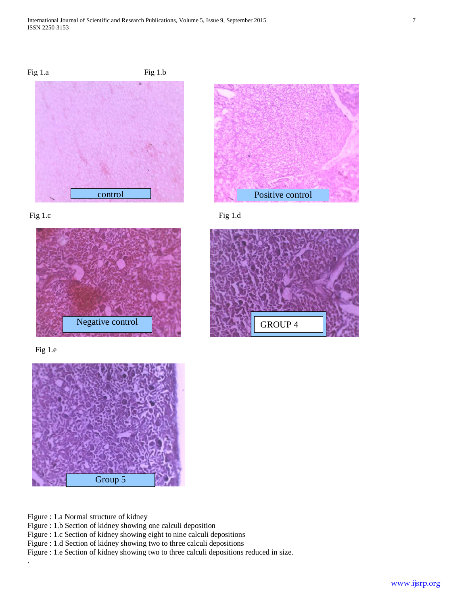







Fig 1.e

.



Figure : 1.a Normal structure of kidney

Figure : 1.b Section of kidney showing one calculi deposition

Figure : 1.c Section of kidney showing eight to nine calculi depositions

Figure : 1.d Section of kidney showing two to three calculi depositions

Figure : 1.e Section of kidney showing two to three calculi depositions reduced in size.

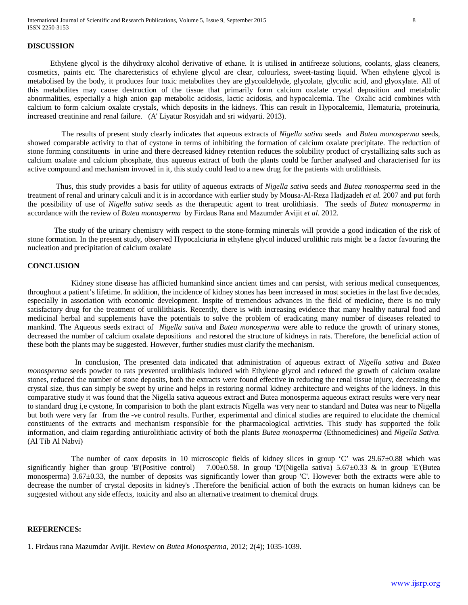## **DISCUSSION**

Ethylene glycol is the dihydroxy alcohol derivative of ethane. It is utilised in antifreeze solutions, coolants, glass cleaners, cosmetics, paints etc. The charecteristics of ethylene glycol are clear, colourless, sweet-tasting liquid. When ethylene glycol is metabolised by the body, it produces four toxic metabolites they are glycoaldehyde, glycolate, glycolic acid, and glyoxylate. All of this metabolites may cause destruction of the tissue that primarily form calcium oxalate crystal deposition and metabolic abnormalities, especially a high anion gap metabolic acidosis, lactic acidosis, and hypocalcemia. The Oxalic acid combines with calcium to form calcium oxalate crystals, which deposits in the kidneys. This can result in Hypocalcemia, Hematuria, proteinuria, increased creatinine and renal failure. (A' Liyatur Rosyidah and sri widyarti. 2013).

 The results of present study clearly indicates that aqueous extracts of *Nigella sativa* seeds and *Butea monosperma* seeds, showed comparable activity to that of cystone in terms of inhibiting the formation of calcium oxalate precipitate. The reduction of stone forming constituents in urine and there decreased kidney retention reduces the solubility product of crystallizing salts such as calcium oxalate and calcium phosphate, thus aqueous extract of both the plants could be further analysed and characterised for its active compound and mechanism invoved in it, this study could lead to a new drug for the patients with urolithiasis.

 Thus, this study provides a basis for utility of aqueous extracts of *Nigella sativa* seeds and *Butea monosperma* seed in the treatment of renal and urinary calculi and it is in accordance with earlier study by Mousa-Al-Reza Hadjzadeh *et al.* 2007 and put forth the possibility of use of *Nigella sativa* seeds as the therapeutic agent to treat urolithiasis. The seeds of *Butea monosperma* in accordance with the review of *Butea monosperma* by Firdaus Rana and Mazumder Avijit *et al.* 2012.

 The study of the urinary chemistry with respect to the stone-forming minerals will provide a good indication of the risk of stone formation. In the present study, observed Hypocalciuria in ethylene glycol induced urolithic rats might be a factor favouring the nucleation and precipitation of calcium oxalate

# **CONCLUSION**

 Kidney stone disease has afflicted humankind since ancient times and can persist, with serious medical consequences, throughout a patient's lifetime. In addition, the incidence of kidney stones has been increased in most societies in the last five decades, especially in association with economic development. Inspite of tremendous advances in the field of medicine, there is no truly satisfactory drug for the treatment of urolilithiasis. Recently, there is with increasing evidence that many healthy natural food and medicinal herbal and supplements have the potentials to solve the problem of eradicating many number of diseases releated to mankind. The Aqueous seeds extract of *Nigella sativ*a and *Butea monosperma* were able to reduce the growth of urinary stones, decreased the number of calcium oxalate depositions and restored the structure of kidneys in rats. Therefore, the beneficial action of these both the plants may be suggested. However, further studies must clarify the mechanism.

 In conclusion, The presented data indicated that administration of aqueous extract of *Nigella sativa* and *Butea monosperma* seeds powder to rats prevented urolithiasis induced with Ethylene glycol and reduced the growth of calcium oxalate stones, reduced the number of stone deposits, both the extracts were found effective in reducing the renal tissue injury, decreasing the crystal size, thus can simply be swept by urine and helps in restoring normal kidney architecture and weights of the kidneys. In this comparative study it was found that the Nigella sativa aqueous extract and Butea monosperma aqueous extract results were very near to standard drug i,e cystone, In comparision to both the plant extracts Nigella was very near to standard and Butea was near to Nigella but both were very far from the -ve control results. Further, experimental and clinical studies are required to elucidate the chemical constituents of the extracts and mechanism responsible for the pharmacological activities. This study has supported the folk information, and claim regarding antiurolithiatic activity of both the plants *Butea monosperma* (Ethnomedicines) and *Nigella Sativa.* (Al Tib Al Nabvi)

The number of caox deposits in 10 microscopic fields of kidney slices in group 'C' was 29.67±0.88 which was significantly higher than group 'B'(Positive control) 7.00 $\pm$ 0.58. In group 'D'(Nigella sativa) 5.67 $\pm$ 0.33 & in group 'E'(Butea monosperma) 3.67±0.33, the number of deposits was significantly lower than group 'C'. However both the extracts were able to decrease the number of crystal deposits in kidney's .Therefore the benificial action of both the extracts on human kidneys can be suggested without any side effects, toxicity and also an alternative treatment to chemical drugs.

## **REFERENCES:**

1. Firdaus rana Mazumdar Avijit. Review on *Butea Monosperma*, 2012; 2(4); 1035-1039.